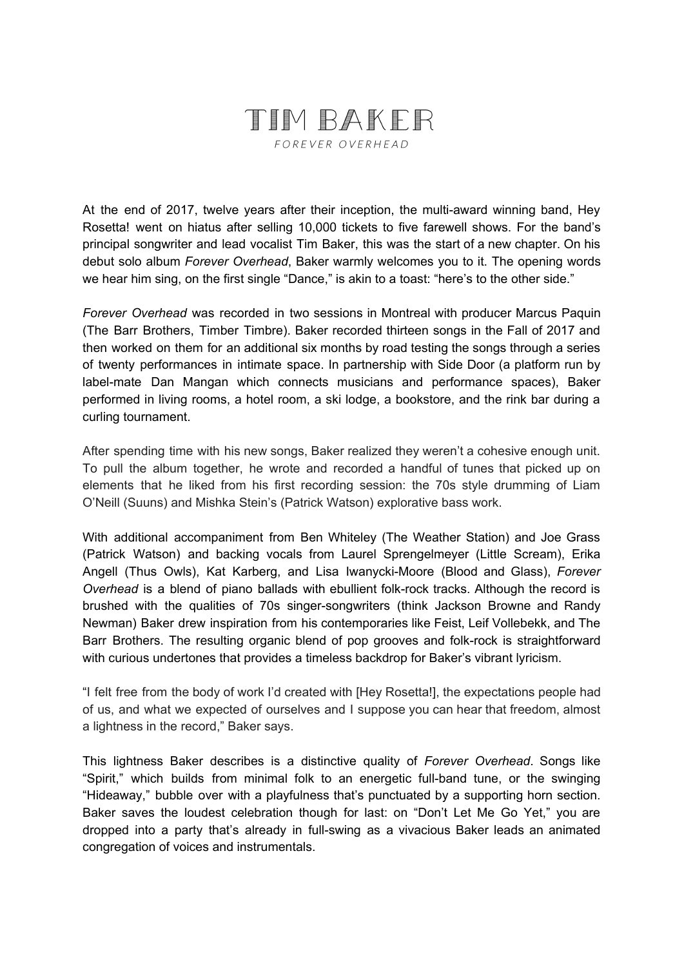## TIM BAKER

FOREVER OVERHEAD

At the end of 2017, twelve years after their inception, the multi-award winning band, Hey Rosetta! went on hiatus after selling 10,000 tickets to five farewell shows. For the band's principal songwriter and lead vocalist Tim Baker, this was the start of a new chapter. On his debut solo album *Forever Overhead*, Baker warmly welcomes you to it. The opening words we hear him sing, on the first single "Dance," is akin to a toast: "here's to the other side."

*Forever Overhead* was recorded in two sessions in Montreal with producer Marcus Paquin (The Barr Brothers, Timber Timbre). Baker recorded thirteen songs in the Fall of 2017 and then worked on them for an additional six months by road testing the songs through a series of twenty performances in intimate space. In partnership with Side Door (a platform run by label-mate Dan Mangan which connects musicians and performance spaces), Baker performed in living rooms, a hotel room, a ski lodge, a bookstore, and the rink bar during a curling tournament.

After spending time with his new songs, Baker realized they weren't a cohesive enough unit. To pull the album together, he wrote and recorded a handful of tunes that picked up on elements that he liked from his first recording session: the 70s style drumming of Liam O'Neill (Suuns) and Mishka Stein's (Patrick Watson) explorative bass work.

With additional accompaniment from Ben Whiteley (The Weather Station) and Joe Grass (Patrick Watson) and backing vocals from Laurel Sprengelmeyer (Little Scream), Erika Angell (Thus Owls), Kat Karberg, and Lisa Iwanycki-Moore (Blood and Glass), *Forever Overhead* is a blend of piano ballads with ebullient folk-rock tracks. Although the record is brushed with the qualities of 70s singer-songwriters (think Jackson Browne and Randy Newman) Baker drew inspiration from his contemporaries like Feist, Leif Vollebekk, and The Barr Brothers. The resulting organic blend of pop grooves and folk-rock is straightforward with curious undertones that provides a timeless backdrop for Baker's vibrant lyricism.

"I felt free from the body of work I'd created with [Hey Rosetta!], the expectations people had of us, and what we expected of ourselves and I suppose you can hear that freedom, almost a lightness in the record," Baker says.

This lightness Baker describes is a distinctive quality of *Forever Overhead*. Songs like "Spirit," which builds from minimal folk to an energetic full-band tune, or the swinging "Hideaway," bubble over with a playfulness that's punctuated by a supporting horn section. Baker saves the loudest celebration though for last: on "Don't Let Me Go Yet," you are dropped into a party that's already in full-swing as a vivacious Baker leads an animated congregation of voices and instrumentals.